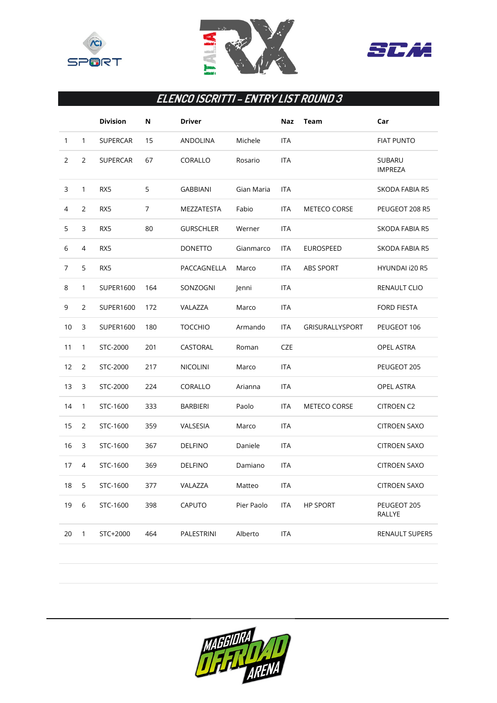





## **ELENCO ISCRITTI – ENTRY LIST ROUND 3**

|                |                | <b>Division</b> | Ν   | Driver           |            | Naz        | <b>Team</b>            | Car                             |
|----------------|----------------|-----------------|-----|------------------|------------|------------|------------------------|---------------------------------|
| $\mathbf{1}$   | $\mathbf{1}$   | <b>SUPERCAR</b> | 15  | ANDOLINA         | Michele    | <b>ITA</b> |                        | <b>FIAT PUNTO</b>               |
| $\overline{2}$ | $\overline{2}$ | <b>SUPERCAR</b> | 67  | CORALLO          | Rosario    | <b>ITA</b> |                        | <b>SUBARU</b><br><b>IMPREZA</b> |
| 3              | $\mathbf{1}$   | RX5             | 5   | <b>GABBIANI</b>  | Gian Maria | <b>ITA</b> |                        | <b>SKODA FABIA R5</b>           |
| 4              | $\overline{2}$ | RX5             | 7   | MEZZATESTA       | Fabio      | <b>ITA</b> | <b>METECO CORSE</b>    | PEUGEOT 208 R5                  |
| 5              | 3              | RX5             | 80  | <b>GURSCHLER</b> | Werner     | <b>ITA</b> |                        | <b>SKODA FABIA R5</b>           |
| 6              | 4              | RX5             |     | <b>DONETTO</b>   | Gianmarco  | <b>ITA</b> | <b>EUROSPEED</b>       | SKODA FABIA R5                  |
| 7              | 5              | RX5             |     | PACCAGNELLA      | Marco      | <b>ITA</b> | <b>ABS SPORT</b>       | <b>HYUNDAI i20 R5</b>           |
| 8              | $\mathbf{1}$   | SUPER1600       | 164 | SONZOGNI         | Jenni      | <b>ITA</b> |                        | RENAULT CLIO                    |
| 9              | $\overline{2}$ | SUPER1600       | 172 | VALAZZA          | Marco      | <b>ITA</b> |                        | <b>FORD FIESTA</b>              |
| 10             | 3              | SUPER1600       | 180 | <b>TOCCHIO</b>   | Armando    | <b>ITA</b> | <b>GRISURALLYSPORT</b> | PEUGEOT 106                     |
| 11             | $\mathbf{1}$   | STC-2000        | 201 | CASTORAL         | Roman      | <b>CZE</b> |                        | OPEL ASTRA                      |
| 12             | $\overline{2}$ | STC-2000        | 217 | <b>NICOLINI</b>  | Marco      | <b>ITA</b> |                        | PEUGEOT 205                     |
| 13             | 3              | STC-2000        | 224 | CORALLO          | Arianna    | <b>ITA</b> |                        | <b>OPEL ASTRA</b>               |
| 14             | $\mathbf{1}$   | STC-1600        | 333 | <b>BARBIERI</b>  | Paolo      | <b>ITA</b> | <b>METECO CORSE</b>    | <b>CITROEN C2</b>               |
| 15             | $\overline{2}$ | STC-1600        | 359 | VALSESIA         | Marco      | <b>ITA</b> |                        | <b>CITROEN SAXO</b>             |
| 16             | 3              | STC-1600        | 367 | <b>DELFINO</b>   | Daniele    | <b>ITA</b> |                        | <b>CITROEN SAXO</b>             |
| 17             | 4              | STC-1600        | 369 | <b>DELFINO</b>   | Damiano    | <b>ITA</b> |                        | <b>CITROEN SAXO</b>             |
| 18             | 5              | STC-1600        | 377 | VALAZZA          | Matteo     | <b>ITA</b> |                        | <b>CITROEN SAXO</b>             |
| 19             | 6              | STC-1600        | 398 | <b>CAPUTO</b>    | Pier Paolo | <b>ITA</b> | <b>HP SPORT</b>        | PEUGEOT 205<br>RALLYE           |
| 20             | $\mathbf{1}$   | STC+2000        | 464 | PALESTRINI       | Alberto    | <b>ITA</b> |                        | <b>RENAULT SUPER5</b>           |
|                |                |                 |     |                  |            |            |                        |                                 |

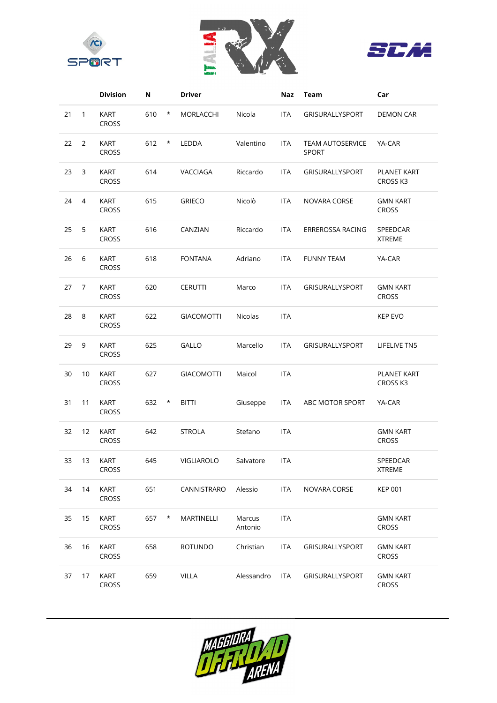





|    |              | <b>Division</b>             | Ν   |          | <b>Driver</b>     |                   | Naz        | <b>Team</b>                             | Car                             |
|----|--------------|-----------------------------|-----|----------|-------------------|-------------------|------------|-----------------------------------------|---------------------------------|
| 21 | $\mathbf{1}$ | <b>KART</b><br><b>CROSS</b> | 610 | $^\star$ | MORLACCHI         | Nicola            | <b>ITA</b> | <b>GRISURALLYSPORT</b>                  | <b>DEMON CAR</b>                |
| 22 | 2            | <b>KART</b><br><b>CROSS</b> | 612 | $\ast$   | <b>LEDDA</b>      | Valentino         | <b>ITA</b> | <b>TEAM AUTOSERVICE</b><br><b>SPORT</b> | YA-CAR                          |
| 23 | 3            | <b>KART</b><br><b>CROSS</b> | 614 |          | VACCIAGA          | Riccardo          | <b>ITA</b> | <b>GRISURALLYSPORT</b>                  | <b>PLANET KART</b><br>CROSS K3  |
| 24 | 4            | <b>KART</b><br>CROSS        | 615 |          | <b>GRIECO</b>     | Nicolò            | <b>ITA</b> | NOVARA CORSE                            | <b>GMN KART</b><br><b>CROSS</b> |
| 25 | 5            | <b>KART</b><br><b>CROSS</b> | 616 |          | CANZIAN           | Riccardo          | <b>ITA</b> | ERREROSSA RACING                        | SPEEDCAR<br><b>XTREME</b>       |
| 26 | 6            | <b>KART</b><br>CROSS        | 618 |          | <b>FONTANA</b>    | Adriano           | <b>ITA</b> | <b>FUNNY TEAM</b>                       | YA-CAR                          |
| 27 | 7            | <b>KART</b><br>CROSS        | 620 |          | <b>CERUTTI</b>    | Marco             | <b>ITA</b> | GRISURALLYSPORT                         | <b>GMN KART</b><br>CROSS        |
| 28 | 8            | <b>KART</b><br>CROSS        | 622 |          | <b>GIACOMOTTI</b> | Nicolas           | <b>ITA</b> |                                         | <b>KEP EVO</b>                  |
| 29 | 9            | <b>KART</b><br>CROSS        | 625 |          | GALLO             | Marcello          | <b>ITA</b> | <b>GRISURALLYSPORT</b>                  | LIFELIVE TN5                    |
| 30 | 10           | <b>KART</b><br>CROSS        | 627 |          | <b>GIACOMOTTI</b> | Maicol            | <b>ITA</b> |                                         | PLANET KART<br>CROSS K3         |
| 31 | 11           | <b>KART</b><br>CROSS        | 632 | $\ast$   | <b>BITTI</b>      | Giuseppe          | <b>ITA</b> | ABC MOTOR SPORT                         | YA-CAR                          |
| 32 | 12           | KART<br><b>CROSS</b>        | 642 |          | <b>STROLA</b>     | Stefano           | <b>ITA</b> |                                         | <b>GMN KART</b><br><b>CROSS</b> |
| 33 | 13           | <b>KART</b><br><b>CROSS</b> | 645 |          | VIGLIAROLO        | Salvatore         | ITA        |                                         | SPEEDCAR<br><b>XTREME</b>       |
| 34 | 14           | KART<br>CROSS               | 651 |          | CANNISTRARO       | Alessio           | <b>ITA</b> | NOVARA CORSE                            | <b>KEP 001</b>                  |
| 35 | 15           | KART<br>CROSS               | 657 | $\ast$   | MARTINELLI        | Marcus<br>Antonio | <b>ITA</b> |                                         | <b>GMN KART</b><br>CROSS        |
| 36 | 16           | KART<br>CROSS               | 658 |          | <b>ROTUNDO</b>    | Christian         | <b>ITA</b> | GRISURALLYSPORT                         | <b>GMN KART</b><br>CROSS        |
| 37 | 17           | KART<br>CROSS               | 659 |          | <b>VILLA</b>      | Alessandro        | <b>ITA</b> | GRISURALLYSPORT                         | <b>GMN KART</b><br><b>CROSS</b> |